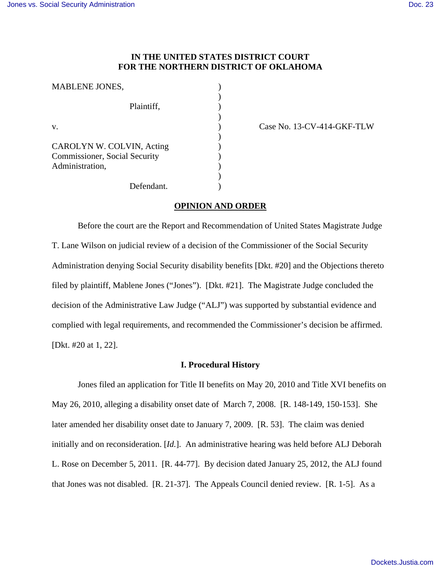# **IN THE UNITED STATES DISTRICT COURT FOR THE NORTHERN DISTRICT OF OKLAHOMA**

| <b>MABLENE JONES,</b>                |  |
|--------------------------------------|--|
| Plaintiff.                           |  |
|                                      |  |
| $V_{-}$                              |  |
|                                      |  |
| CAROLYN W. COLVIN, Acting            |  |
| <b>Commissioner, Social Security</b> |  |
| Administration,                      |  |
|                                      |  |
| Defendant.                           |  |

Case No. 13-CV-414-GKF-TLW

# **OPINION AND ORDER**

Before the court are the Report and Recommendation of United States Magistrate Judge T. Lane Wilson on judicial review of a decision of the Commissioner of the Social Security Administration denying Social Security disability benefits [Dkt. #20] and the Objections thereto filed by plaintiff, Mablene Jones ("Jones"). [Dkt. #21]. The Magistrate Judge concluded the decision of the Administrative Law Judge ("ALJ") was supported by substantial evidence and complied with legal requirements, and recommended the Commissioner's decision be affirmed. [Dkt. #20 at 1, 22].

### **I. Procedural History**

Jones filed an application for Title II benefits on May 20, 2010 and Title XVI benefits on May 26, 2010, alleging a disability onset date of March 7, 2008. [R. 148-149, 150-153]. She later amended her disability onset date to January 7, 2009. [R. 53]. The claim was denied initially and on reconsideration. [*Id.*]. An administrative hearing was held before ALJ Deborah L. Rose on December 5, 2011. [R. 44-77]. By decision dated January 25, 2012, the ALJ found that Jones was not disabled. [R. 21-37]. The Appeals Council denied review. [R. 1-5]. As a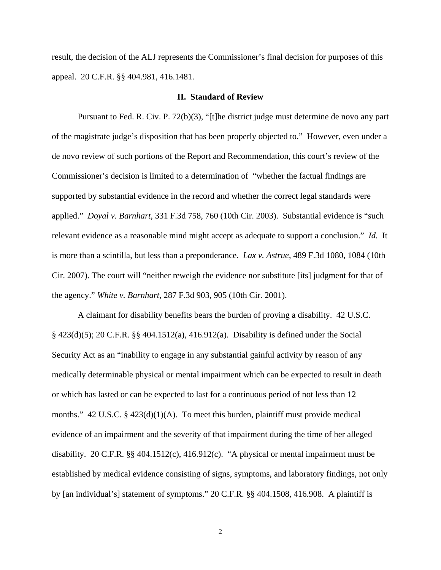result, the decision of the ALJ represents the Commissioner's final decision for purposes of this appeal. 20 C.F.R. §§ 404.981, 416.1481.

## **II. Standard of Review**

 Pursuant to Fed. R. Civ. P. 72(b)(3), "[t]he district judge must determine de novo any part of the magistrate judge's disposition that has been properly objected to." However, even under a de novo review of such portions of the Report and Recommendation, this court's review of the Commissioner's decision is limited to a determination of "whether the factual findings are supported by substantial evidence in the record and whether the correct legal standards were applied." *Doyal v. Barnhart*, 331 F.3d 758, 760 (10th Cir. 2003). Substantial evidence is "such relevant evidence as a reasonable mind might accept as adequate to support a conclusion." *Id.* It is more than a scintilla, but less than a preponderance. *Lax v. Astrue*, 489 F.3d 1080, 1084 (10th Cir. 2007). The court will "neither reweigh the evidence nor substitute [its] judgment for that of the agency." *White v. Barnhart*, 287 F.3d 903, 905 (10th Cir. 2001).

A claimant for disability benefits bears the burden of proving a disability. 42 U.S.C. § 423(d)(5); 20 C.F.R. §§ 404.1512(a), 416.912(a). Disability is defined under the Social Security Act as an "inability to engage in any substantial gainful activity by reason of any medically determinable physical or mental impairment which can be expected to result in death or which has lasted or can be expected to last for a continuous period of not less than 12 months." 42 U.S.C.  $\S$  423(d)(1)(A). To meet this burden, plaintiff must provide medical evidence of an impairment and the severity of that impairment during the time of her alleged disability. 20 C.F.R. §§ 404.1512(c), 416.912(c). "A physical or mental impairment must be established by medical evidence consisting of signs, symptoms, and laboratory findings, not only by [an individual's] statement of symptoms." 20 C.F.R. §§ 404.1508, 416.908. A plaintiff is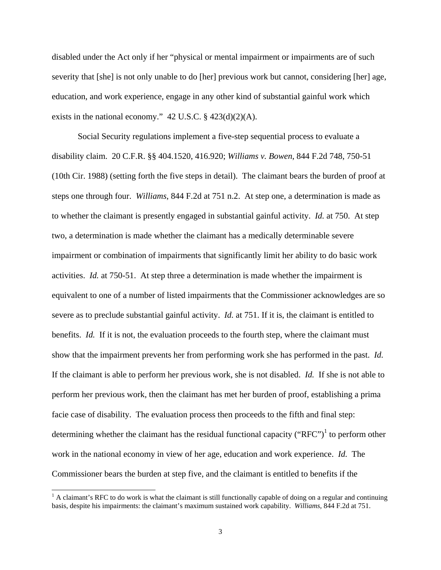disabled under the Act only if her "physical or mental impairment or impairments are of such severity that [she] is not only unable to do [her] previous work but cannot, considering [her] age, education, and work experience, engage in any other kind of substantial gainful work which exists in the national economy."  $42$  U.S.C. §  $423(d)(2)(A)$ .

 Social Security regulations implement a five-step sequential process to evaluate a disability claim. 20 C.F.R. §§ 404.1520, 416.920; *Williams v. Bowen*, 844 F.2d 748, 750-51 (10th Cir. 1988) (setting forth the five steps in detail). The claimant bears the burden of proof at steps one through four. *Williams*, 844 F.2d at 751 n.2. At step one, a determination is made as to whether the claimant is presently engaged in substantial gainful activity. *Id.* at 750. At step two, a determination is made whether the claimant has a medically determinable severe impairment or combination of impairments that significantly limit her ability to do basic work activities. *Id.* at 750-51. At step three a determination is made whether the impairment is equivalent to one of a number of listed impairments that the Commissioner acknowledges are so severe as to preclude substantial gainful activity. *Id.* at 751. If it is, the claimant is entitled to benefits. *Id.* If it is not, the evaluation proceeds to the fourth step, where the claimant must show that the impairment prevents her from performing work she has performed in the past. *Id.*  If the claimant is able to perform her previous work, she is not disabled. *Id.* If she is not able to perform her previous work, then the claimant has met her burden of proof, establishing a prima facie case of disability. The evaluation process then proceeds to the fifth and final step: determining whether the claimant has the residual functional capacity ("RFC")<sup>1</sup> to perform other work in the national economy in view of her age, education and work experience. *Id.* The Commissioner bears the burden at step five, and the claimant is entitled to benefits if the

 $\overline{\phantom{a}}$ 

 $<sup>1</sup>$  A claimant's RFC to do work is what the claimant is still functionally capable of doing on a regular and continuing</sup> basis, despite his impairments: the claimant's maximum sustained work capability. *Williams,* 844 F.2d at 751.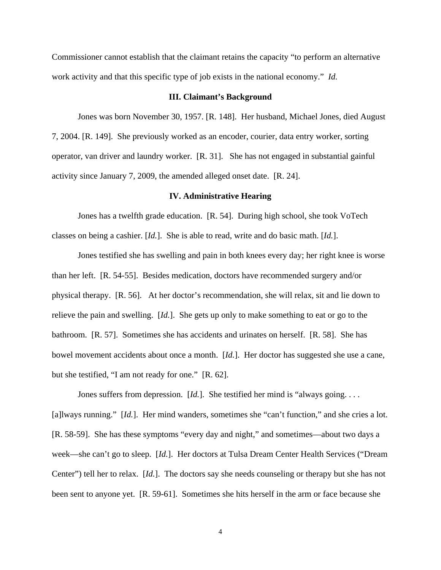Commissioner cannot establish that the claimant retains the capacity "to perform an alternative work activity and that this specific type of job exists in the national economy." *Id.* 

### **III. Claimant's Background**

 Jones was born November 30, 1957. [R. 148]. Her husband, Michael Jones, died August 7, 2004. [R. 149]. She previously worked as an encoder, courier, data entry worker, sorting operator, van driver and laundry worker. [R. 31]. She has not engaged in substantial gainful activity since January 7, 2009, the amended alleged onset date. [R. 24].

#### **IV. Administrative Hearing**

 Jones has a twelfth grade education. [R. 54]. During high school, she took VoTech classes on being a cashier. [*Id.*]. She is able to read, write and do basic math. [*Id.*].

Jones testified she has swelling and pain in both knees every day; her right knee is worse than her left. [R. 54-55]. Besides medication, doctors have recommended surgery and/or physical therapy. [R. 56]. At her doctor's recommendation, she will relax, sit and lie down to relieve the pain and swelling. [*Id.*]. She gets up only to make something to eat or go to the bathroom. [R. 57]. Sometimes she has accidents and urinates on herself. [R. 58]. She has bowel movement accidents about once a month. [*Id.*]. Her doctor has suggested she use a cane, but she testified, "I am not ready for one." [R. 62].

Jones suffers from depression. [*Id.*]. She testified her mind is "always going.... [a]lways running." [*Id.*]. Her mind wanders, sometimes she "can't function," and she cries a lot. [R. 58-59]. She has these symptoms "every day and night," and sometimes—about two days a week—she can't go to sleep. [*Id.*]. Her doctors at Tulsa Dream Center Health Services ("Dream Center") tell her to relax. [*Id.*]. The doctors say she needs counseling or therapy but she has not been sent to anyone yet. [R. 59-61]. Sometimes she hits herself in the arm or face because she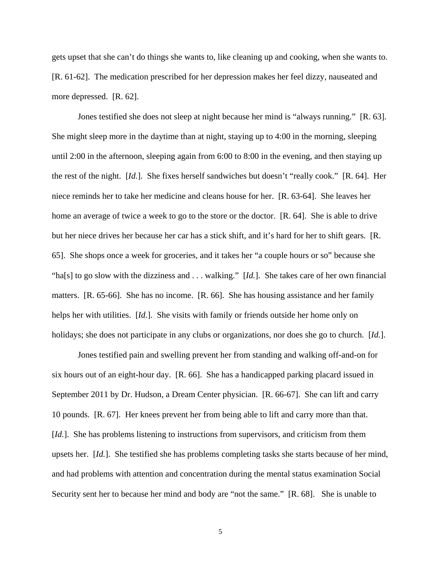gets upset that she can't do things she wants to, like cleaning up and cooking, when she wants to. [R. 61-62]. The medication prescribed for her depression makes her feel dizzy, nauseated and more depressed. [R. 62].

Jones testified she does not sleep at night because her mind is "always running." [R. 63]. She might sleep more in the daytime than at night, staying up to 4:00 in the morning, sleeping until 2:00 in the afternoon, sleeping again from 6:00 to 8:00 in the evening, and then staying up the rest of the night. [*Id.*]. She fixes herself sandwiches but doesn't "really cook." [R. 64]. Her niece reminds her to take her medicine and cleans house for her. [R. 63-64]. She leaves her home an average of twice a week to go to the store or the doctor. [R. 64]. She is able to drive but her niece drives her because her car has a stick shift, and it's hard for her to shift gears. [R. 65]. She shops once a week for groceries, and it takes her "a couple hours or so" because she "ha[s] to go slow with the dizziness and . . . walking." [*Id.*]. She takes care of her own financial matters. [R. 65-66]. She has no income. [R. 66]. She has housing assistance and her family helps her with utilities. [*Id.*]. She visits with family or friends outside her home only on holidays; she does not participate in any clubs or organizations, nor does she go to church. [*Id.*].

Jones testified pain and swelling prevent her from standing and walking off-and-on for six hours out of an eight-hour day. [R. 66]. She has a handicapped parking placard issued in September 2011 by Dr. Hudson, a Dream Center physician. [R. 66-67]. She can lift and carry 10 pounds. [R. 67]. Her knees prevent her from being able to lift and carry more than that. [*Id.*]. She has problems listening to instructions from supervisors, and criticism from them upsets her. [*Id.*]. She testified she has problems completing tasks she starts because of her mind, and had problems with attention and concentration during the mental status examination Social Security sent her to because her mind and body are "not the same." [R. 68]. She is unable to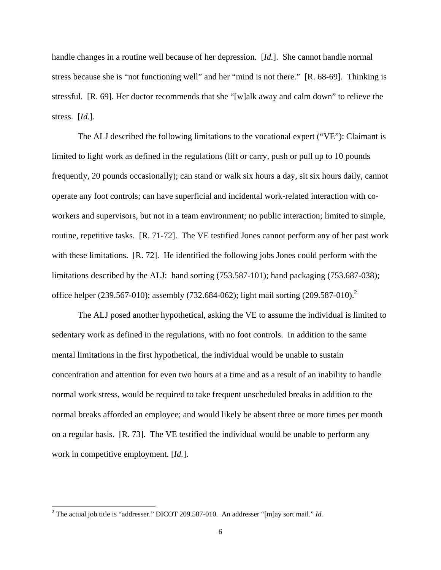handle changes in a routine well because of her depression. [*Id.*]. She cannot handle normal stress because she is "not functioning well" and her "mind is not there." [R. 68-69]. Thinking is stressful. [R. 69]. Her doctor recommends that she "[w]alk away and calm down" to relieve the stress. [*Id.*].

The ALJ described the following limitations to the vocational expert ("VE"): Claimant is limited to light work as defined in the regulations (lift or carry, push or pull up to 10 pounds frequently, 20 pounds occasionally); can stand or walk six hours a day, sit six hours daily, cannot operate any foot controls; can have superficial and incidental work-related interaction with coworkers and supervisors, but not in a team environment; no public interaction; limited to simple, routine, repetitive tasks. [R. 71-72]. The VE testified Jones cannot perform any of her past work with these limitations. [R. 72]. He identified the following jobs Jones could perform with the limitations described by the ALJ: hand sorting (753.587-101); hand packaging (753.687-038); office helper (239.567-010); assembly (732.684-062); light mail sorting (209.587-010).<sup>2</sup>

The ALJ posed another hypothetical, asking the VE to assume the individual is limited to sedentary work as defined in the regulations, with no foot controls. In addition to the same mental limitations in the first hypothetical, the individual would be unable to sustain concentration and attention for even two hours at a time and as a result of an inability to handle normal work stress, would be required to take frequent unscheduled breaks in addition to the normal breaks afforded an employee; and would likely be absent three or more times per month on a regular basis. [R. 73]. The VE testified the individual would be unable to perform any work in competitive employment. [*Id.*].

-

<sup>&</sup>lt;sup>2</sup> The actual job title is "addresser." DICOT 209.587-010. An addresser "[m]ay sort mail." *Id.*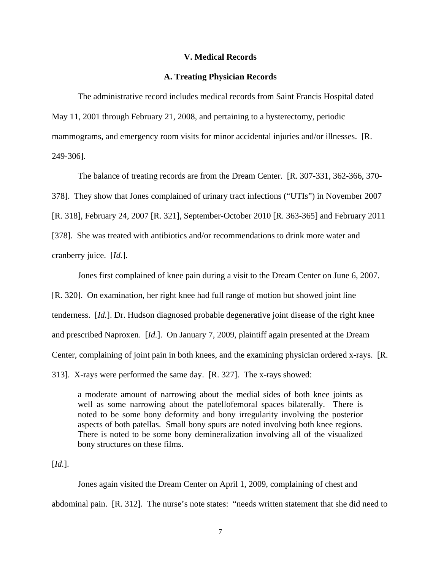#### **V. Medical Records**

### **A. Treating Physician Records**

The administrative record includes medical records from Saint Francis Hospital dated May 11, 2001 through February 21, 2008, and pertaining to a hysterectomy, periodic mammograms, and emergency room visits for minor accidental injuries and/or illnesses. [R. 249-306].

The balance of treating records are from the Dream Center. [R. 307-331, 362-366, 370-

378]. They show that Jones complained of urinary tract infections ("UTIs") in November 2007

[R. 318], February 24, 2007 [R. 321], September-October 2010 [R. 363-365] and February 2011

[378]. She was treated with antibiotics and/or recommendations to drink more water and

cranberry juice. [*Id.*].

Jones first complained of knee pain during a visit to the Dream Center on June 6, 2007.

[R. 320]. On examination, her right knee had full range of motion but showed joint line tenderness. [*Id.*]. Dr. Hudson diagnosed probable degenerative joint disease of the right knee and prescribed Naproxen. [*Id.*]. On January 7, 2009, plaintiff again presented at the Dream Center, complaining of joint pain in both knees, and the examining physician ordered x-rays. [R. 313]. X-rays were performed the same day. [R. 327]. The x-rays showed:

a moderate amount of narrowing about the medial sides of both knee joints as well as some narrowing about the patellofemoral spaces bilaterally. There is noted to be some bony deformity and bony irregularity involving the posterior aspects of both patellas. Small bony spurs are noted involving both knee regions. There is noted to be some bony demineralization involving all of the visualized bony structures on these films.

[*Id.*].

 Jones again visited the Dream Center on April 1, 2009, complaining of chest and abdominal pain. [R. 312]. The nurse's note states: "needs written statement that she did need to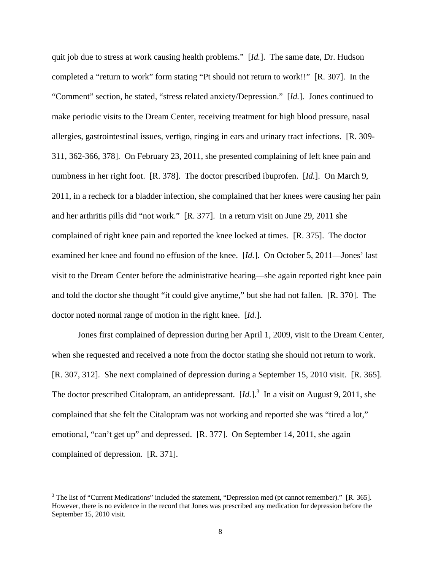quit job due to stress at work causing health problems." [*Id.*]. The same date, Dr. Hudson completed a "return to work" form stating "Pt should not return to work!!" [R. 307]. In the "Comment" section, he stated, "stress related anxiety/Depression." [*Id.*]. Jones continued to make periodic visits to the Dream Center, receiving treatment for high blood pressure, nasal allergies, gastrointestinal issues, vertigo, ringing in ears and urinary tract infections. [R. 309- 311, 362-366, 378]. On February 23, 2011, she presented complaining of left knee pain and numbness in her right foot. [R. 378]. The doctor prescribed ibuprofen. [*Id.*]. On March 9, 2011, in a recheck for a bladder infection, she complained that her knees were causing her pain and her arthritis pills did "not work." [R. 377]. In a return visit on June 29, 2011 she complained of right knee pain and reported the knee locked at times. [R. 375]. The doctor examined her knee and found no effusion of the knee. [*Id.*]. On October 5, 2011—Jones' last visit to the Dream Center before the administrative hearing—she again reported right knee pain and told the doctor she thought "it could give anytime," but she had not fallen. [R. 370]. The doctor noted normal range of motion in the right knee. [*Id.*].

 Jones first complained of depression during her April 1, 2009, visit to the Dream Center, when she requested and received a note from the doctor stating she should not return to work. [R. 307, 312]. She next complained of depression during a September 15, 2010 visit. [R. 365]. The doctor prescribed Citalopram, an antidepressant.  $\left[ Id. \right]$ <sup>3</sup> In a visit on August 9, 2011, she complained that she felt the Citalopram was not working and reported she was "tired a lot," emotional, "can't get up" and depressed. [R. 377]. On September 14, 2011, she again complained of depression. [R. 371].

-

 $3$  The list of "Current Medications" included the statement, "Depression med (pt cannot remember)." [R. 365]. However, there is no evidence in the record that Jones was prescribed any medication for depression before the September 15, 2010 visit.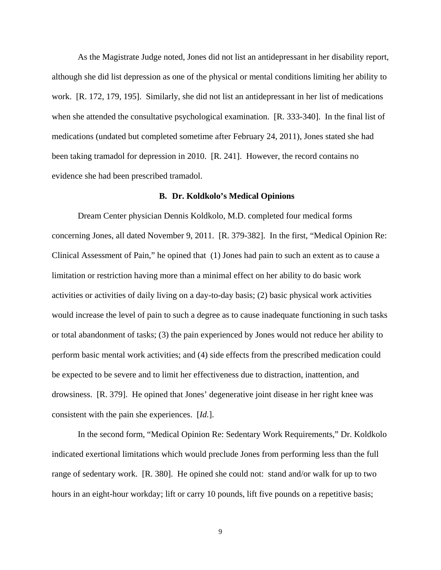As the Magistrate Judge noted, Jones did not list an antidepressant in her disability report, although she did list depression as one of the physical or mental conditions limiting her ability to work. [R. 172, 179, 195]. Similarly, she did not list an antidepressant in her list of medications when she attended the consultative psychological examination. [R. 333-340]. In the final list of medications (undated but completed sometime after February 24, 2011), Jones stated she had been taking tramadol for depression in 2010. [R. 241]. However, the record contains no evidence she had been prescribed tramadol.

#### **B. Dr. Koldkolo's Medical Opinions**

Dream Center physician Dennis Koldkolo, M.D. completed four medical forms concerning Jones, all dated November 9, 2011. [R. 379-382]. In the first, "Medical Opinion Re: Clinical Assessment of Pain," he opined that (1) Jones had pain to such an extent as to cause a limitation or restriction having more than a minimal effect on her ability to do basic work activities or activities of daily living on a day-to-day basis; (2) basic physical work activities would increase the level of pain to such a degree as to cause inadequate functioning in such tasks or total abandonment of tasks; (3) the pain experienced by Jones would not reduce her ability to perform basic mental work activities; and (4) side effects from the prescribed medication could be expected to be severe and to limit her effectiveness due to distraction, inattention, and drowsiness. [R. 379]. He opined that Jones' degenerative joint disease in her right knee was consistent with the pain she experiences. [*Id.*].

In the second form, "Medical Opinion Re: Sedentary Work Requirements," Dr. Koldkolo indicated exertional limitations which would preclude Jones from performing less than the full range of sedentary work. [R. 380]. He opined she could not: stand and/or walk for up to two hours in an eight-hour workday; lift or carry 10 pounds, lift five pounds on a repetitive basis;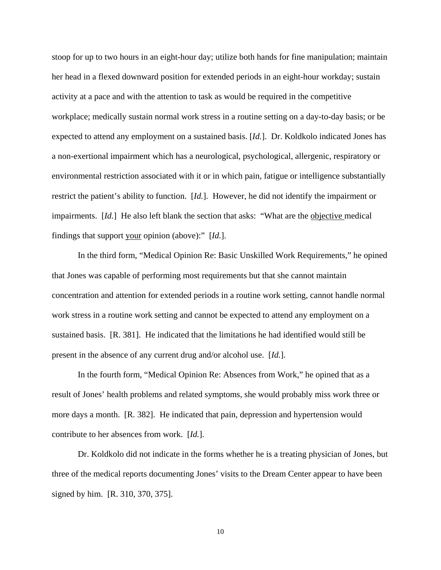stoop for up to two hours in an eight-hour day; utilize both hands for fine manipulation; maintain her head in a flexed downward position for extended periods in an eight-hour workday; sustain activity at a pace and with the attention to task as would be required in the competitive workplace; medically sustain normal work stress in a routine setting on a day-to-day basis; or be expected to attend any employment on a sustained basis. [*Id.*]. Dr. Koldkolo indicated Jones has a non-exertional impairment which has a neurological, psychological, allergenic, respiratory or environmental restriction associated with it or in which pain, fatigue or intelligence substantially restrict the patient's ability to function. [*Id.*]. However, he did not identify the impairment or impairments. [*Id.*] He also left blank the section that asks: "What are the objective medical findings that support your opinion (above):" [*Id.*].

In the third form, "Medical Opinion Re: Basic Unskilled Work Requirements," he opined that Jones was capable of performing most requirements but that she cannot maintain concentration and attention for extended periods in a routine work setting, cannot handle normal work stress in a routine work setting and cannot be expected to attend any employment on a sustained basis. [R. 381]. He indicated that the limitations he had identified would still be present in the absence of any current drug and/or alcohol use. [*Id.*].

In the fourth form, "Medical Opinion Re: Absences from Work," he opined that as a result of Jones' health problems and related symptoms, she would probably miss work three or more days a month. [R. 382]. He indicated that pain, depression and hypertension would contribute to her absences from work. [*Id.*].

 Dr. Koldkolo did not indicate in the forms whether he is a treating physician of Jones, but three of the medical reports documenting Jones' visits to the Dream Center appear to have been signed by him. [R. 310, 370, 375].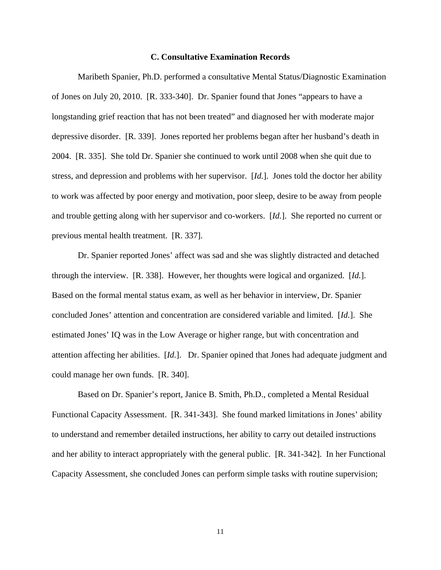#### **C. Consultative Examination Records**

 Maribeth Spanier, Ph.D. performed a consultative Mental Status/Diagnostic Examination of Jones on July 20, 2010. [R. 333-340]. Dr. Spanier found that Jones "appears to have a longstanding grief reaction that has not been treated" and diagnosed her with moderate major depressive disorder. [R. 339]. Jones reported her problems began after her husband's death in 2004. [R. 335]. She told Dr. Spanier she continued to work until 2008 when she quit due to stress, and depression and problems with her supervisor. [*Id.*]. Jones told the doctor her ability to work was affected by poor energy and motivation, poor sleep, desire to be away from people and trouble getting along with her supervisor and co-workers. [*Id.*]. She reported no current or previous mental health treatment. [R. 337].

 Dr. Spanier reported Jones' affect was sad and she was slightly distracted and detached through the interview. [R. 338]. However, her thoughts were logical and organized. [*Id.*]. Based on the formal mental status exam, as well as her behavior in interview, Dr. Spanier concluded Jones' attention and concentration are considered variable and limited. [*Id.*]. She estimated Jones' IQ was in the Low Average or higher range, but with concentration and attention affecting her abilities. [*Id.*]. Dr. Spanier opined that Jones had adequate judgment and could manage her own funds. [R. 340].

 Based on Dr. Spanier's report, Janice B. Smith, Ph.D., completed a Mental Residual Functional Capacity Assessment. [R. 341-343]. She found marked limitations in Jones' ability to understand and remember detailed instructions, her ability to carry out detailed instructions and her ability to interact appropriately with the general public. [R. 341-342]. In her Functional Capacity Assessment, she concluded Jones can perform simple tasks with routine supervision;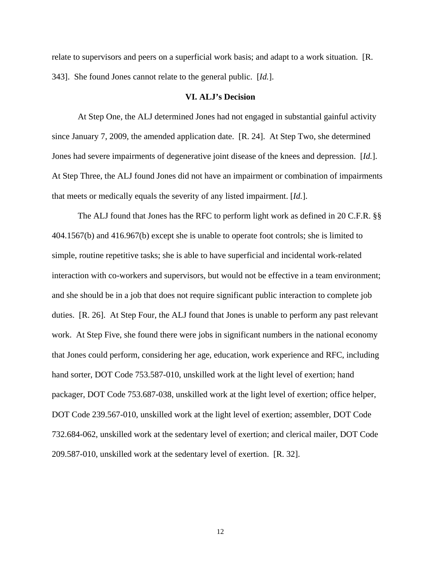relate to supervisors and peers on a superficial work basis; and adapt to a work situation. [R. 343]. She found Jones cannot relate to the general public. [*Id.*].

### **VI. ALJ's Decision**

 At Step One, the ALJ determined Jones had not engaged in substantial gainful activity since January 7, 2009, the amended application date. [R. 24]. At Step Two, she determined Jones had severe impairments of degenerative joint disease of the knees and depression. [*Id.*]. At Step Three, the ALJ found Jones did not have an impairment or combination of impairments that meets or medically equals the severity of any listed impairment. [*Id.*].

 The ALJ found that Jones has the RFC to perform light work as defined in 20 C.F.R. §§ 404.1567(b) and 416.967(b) except she is unable to operate foot controls; she is limited to simple, routine repetitive tasks; she is able to have superficial and incidental work-related interaction with co-workers and supervisors, but would not be effective in a team environment; and she should be in a job that does not require significant public interaction to complete job duties. [R. 26]. At Step Four, the ALJ found that Jones is unable to perform any past relevant work. At Step Five, she found there were jobs in significant numbers in the national economy that Jones could perform, considering her age, education, work experience and RFC, including hand sorter, DOT Code 753.587-010, unskilled work at the light level of exertion; hand packager, DOT Code 753.687-038, unskilled work at the light level of exertion; office helper, DOT Code 239.567-010, unskilled work at the light level of exertion; assembler, DOT Code 732.684-062, unskilled work at the sedentary level of exertion; and clerical mailer, DOT Code 209.587-010, unskilled work at the sedentary level of exertion. [R. 32].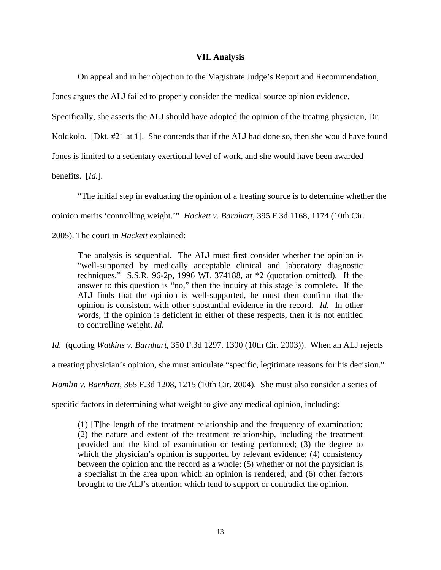#### **VII. Analysis**

On appeal and in her objection to the Magistrate Judge's Report and Recommendation,

Jones argues the ALJ failed to properly consider the medical source opinion evidence.

Specifically, she asserts the ALJ should have adopted the opinion of the treating physician, Dr.

Koldkolo. [Dkt. #21 at 1]. She contends that if the ALJ had done so, then she would have found

Jones is limited to a sedentary exertional level of work, and she would have been awarded

benefits. [*Id.*].

"The initial step in evaluating the opinion of a treating source is to determine whether the

opinion merits 'controlling weight.'" *Hackett v. Barnhart*, 395 F.3d 1168, 1174 (10th Cir.

2005). The court in *Hackett* explained:

The analysis is sequential. The ALJ must first consider whether the opinion is "well-supported by medically acceptable clinical and laboratory diagnostic techniques." S.S.R. 96-2p, 1996 WL 374188, at \*2 (quotation omitted). If the answer to this question is "no," then the inquiry at this stage is complete. If the ALJ finds that the opinion is well-supported, he must then confirm that the opinion is consistent with other substantial evidence in the record. *Id.* In other words, if the opinion is deficient in either of these respects, then it is not entitled to controlling weight. *Id.* 

*Id.* (quoting *Watkins v. Barnhart*, 350 F.3d 1297, 1300 (10th Cir. 2003)). When an ALJ rejects

a treating physician's opinion, she must articulate "specific, legitimate reasons for his decision."

*Hamlin v. Barnhart*, 365 F.3d 1208, 1215 (10th Cir. 2004). She must also consider a series of

specific factors in determining what weight to give any medical opinion, including:

(1) [T]he length of the treatment relationship and the frequency of examination; (2) the nature and extent of the treatment relationship, including the treatment provided and the kind of examination or testing performed; (3) the degree to which the physician's opinion is supported by relevant evidence; (4) consistency between the opinion and the record as a whole; (5) whether or not the physician is a specialist in the area upon which an opinion is rendered; and (6) other factors brought to the ALJ's attention which tend to support or contradict the opinion.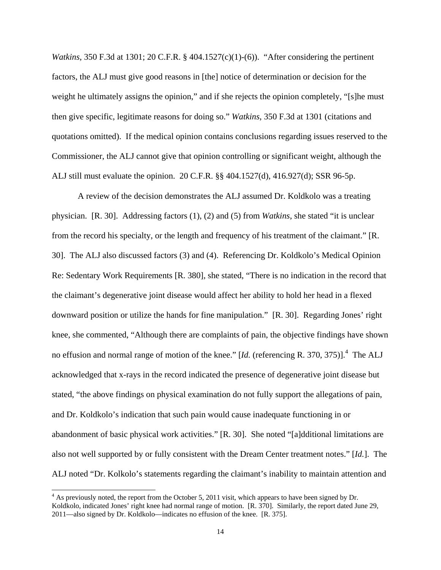*Watkins*, 350 F.3d at 1301; 20 C.F.R. § 404.1527(c)(1)-(6)). "After considering the pertinent factors, the ALJ must give good reasons in [the] notice of determination or decision for the weight he ultimately assigns the opinion," and if she rejects the opinion completely, "[s]he must then give specific, legitimate reasons for doing so." *Watkins*, 350 F.3d at 1301 (citations and quotations omitted). If the medical opinion contains conclusions regarding issues reserved to the Commissioner, the ALJ cannot give that opinion controlling or significant weight, although the ALJ still must evaluate the opinion. 20 C.F.R. §§ 404.1527(d), 416.927(d); SSR 96-5p.

A review of the decision demonstrates the ALJ assumed Dr. Koldkolo was a treating physician. [R. 30]. Addressing factors (1), (2) and (5) from *Watkins*, she stated "it is unclear from the record his specialty, or the length and frequency of his treatment of the claimant." [R. 30]. The ALJ also discussed factors (3) and (4). Referencing Dr. Koldkolo's Medical Opinion Re: Sedentary Work Requirements [R. 380], she stated, "There is no indication in the record that the claimant's degenerative joint disease would affect her ability to hold her head in a flexed downward position or utilize the hands for fine manipulation." [R. 30]. Regarding Jones' right knee, she commented, "Although there are complaints of pain, the objective findings have shown no effusion and normal range of motion of the knee." [*Id.* (referencing R. 370, 375)].<sup>4</sup> The ALJ acknowledged that x-rays in the record indicated the presence of degenerative joint disease but stated, "the above findings on physical examination do not fully support the allegations of pain, and Dr. Koldkolo's indication that such pain would cause inadequate functioning in or abandonment of basic physical work activities." [R. 30]. She noted "[a]dditional limitations are also not well supported by or fully consistent with the Dream Center treatment notes." [*Id.*]. The ALJ noted "Dr. Kolkolo's statements regarding the claimant's inability to maintain attention and

-

<sup>&</sup>lt;sup>4</sup> As previously noted, the report from the October 5, 2011 visit, which appears to have been signed by Dr. Koldkolo, indicated Jones' right knee had normal range of motion. [R. 370]. Similarly, the report dated June 29, 2011—also signed by Dr. Koldkolo—indicates no effusion of the knee. [R. 375].